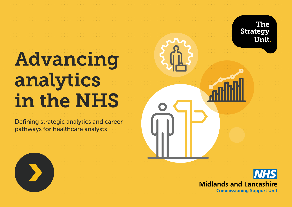# <span id="page-0-0"></span>Advancing analytics in the NHS

Defining strategic analytics and career pathways for healthcare analysts

**The Strategy** Unit.



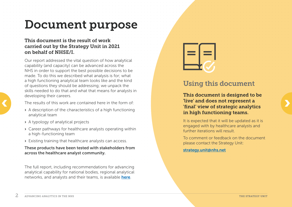## <span id="page-1-0"></span>Document purpose

#### This document is the result of work carried out by the Strategy Unit in 2021 on behalf of NHSE/I.

Our report addressed the vital question of how analytical capability (and capacity) can be advanced across the NHS in order to support the best possible decisions to be made. To do this we described what analysis is for; what a high functioning analytical team looks like and the kind of questions they should be addressing; we unpack the skills needed to do that and what that means for analysts in developing their careers.

The results of this work are contained here in the form of:

- › A description of the characteristics of a high functioning analytical team
- › A typology of analytical projects
- › Career pathways for healthcare analysts operating within a high-functioning team
- › Existing training that healthcare analysts can access.

These products have been tested with stakeholders from across the healthcare analyst community.

The full report, including recommendations for advancing analytical capability for national bodies, regional analytical networks, and analysts and their teams, is available [here](https://www.strategyunitwm.nhs.uk/sites/default/files/2021-11/Recommendations%20for%20Advancing%20Analytics%20in%20Healthcare.pdf).



## Using this document

This document is designed to be<br>The results of this work are contained here in the form of:<br>A description of the characteristics of a high functioning<br>A description of the characteristics of a high functioning This document is designed to be 'live' and does not represent a 'final' view of strategic analytics in high functioning teams.

> It is expected that it will be updated as it is engaged with by healthcare analysts and further iterations will result.

To comment or feedback on the document please contact the Strategy Unit:

#### [strategy.unit@nhs.net](mailto:strategy.unit%40nhs.net?subject=)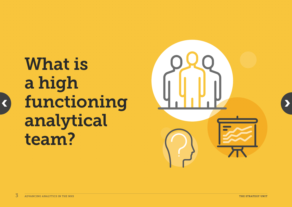# <span id="page-2-0"></span>What is a high functioning analytical team?

[‹](#page-1-0)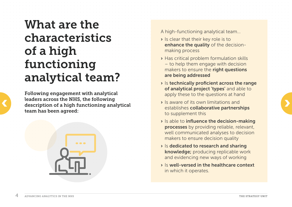## <span id="page-3-0"></span>What are the characteristics of a high functioning analytical team?

Following engagement with analytical leaders across the NHS, the following description of a high functioning analytical team has been agreed:



A high-functioning analytical team…

- › Is clear that their key role is to enhance the quality of the decisionmaking process
- › Has critical problem formulation skills – to help them engage with decision makers to ensure the right questions are being addressed
- › Is technically proficient across the range of analytical project 'types' and able to apply these to the questions at hand
- › Is aware of its own limitations and establishes collaborative partnerships to supplement this
- › Is able to influence the decision-making processes by providing reliable, relevant, well communicated analyses to decision makers to ensure decision quality
- › Is dedicated to research and sharing knowledge; producing replicable work and evidencing new ways of working
- › Is well-versed in the healthcare context in which it operates.

[‹](#page-2-0)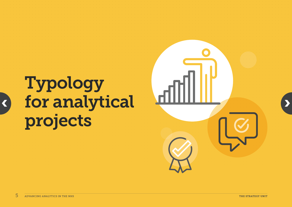[‹](#page-3-0)

# <span id="page-4-0"></span>Typology for analytical projects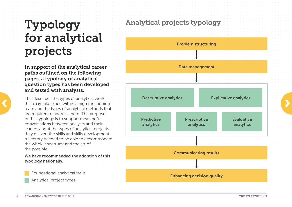## Typology for analytical projects

In support of the analytical career paths outlined on the following pages, a typology of analytical question types has been developed and tested with analysts.

This describes the types of analytical work that may take place within a high functioning team and the types of analytical methods that are required to address them. The purpose of this typology is to support meaningful conversations between analysts and their leaders about the types of analytical projects they deliver; the skills and skills development trajectory needed to be able to accommodate the whole spectrum; and the art of the possible.

We have recommended the adoption of this typology nationally.

Foundational analytical tasks Analytical project types

## Analytical projects typology

<span id="page-5-0"></span>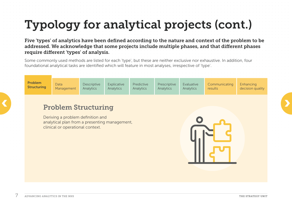<span id="page-6-0"></span>Five 'types' of analytics have been defined according to the nature and context of the problem to be addressed. We acknowledge that some projects include multiple phases, and that different phases require different 'types' of analysis.

Some commonly used methods are listed for each 'type', but these are neither exclusive nor exhaustive. In addition, four foundational analytical tasks are identified which will feature in most analyses, irrespective of 'type'.

| the control of the control of the con-<br>the contract of the contract of the contract of                                 | <b>Problem</b><br><b>Structuring</b> | Data<br>Management         | Descriptive<br>Analytics | Explicative<br>Analytics | Predictive<br>Analytics | Prescriptive<br>Analytics | Evaluative<br>Analytics | Communicating<br>results | Enhancing<br>decision quality |                                                                                                    |  |
|---------------------------------------------------------------------------------------------------------------------------|--------------------------------------|----------------------------|--------------------------|--------------------------|-------------------------|---------------------------|-------------------------|--------------------------|-------------------------------|----------------------------------------------------------------------------------------------------|--|
| the company's company's company's<br>the contract of the con-<br>the control of the control of<br>the control of the con- |                                      | <b>Problem Structuring</b> |                          |                          |                         |                           |                         |                          |                               | the contract of the contract of the<br>contract the contract of<br>the contract of the contract of |  |

Deriving a problem definition and analytical plan from a presenting management, clinical or operational context.

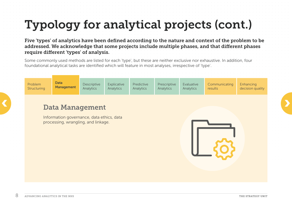<span id="page-7-0"></span>Five 'types' of analytics have been defined according to the nature and context of the problem to be addressed. We acknowledge that some projects include multiple phases, and that different phases require different 'types' of analysis.

Some commonly used methods are listed for each 'type', but these are neither exclusive nor exhaustive. In addition, four foundational analytical tasks are identified which will feature in most analyses, irrespective of 'type'.

| Problem<br>Structuring | Data<br><b>Management</b>                                                        | Descriptive<br>Analytics | Explicative<br>Analytics | Predictive<br>Analytics | Prescriptive<br>Analytics | Evaluative<br>Analytics | Communicating<br>results | Enhancing<br>decision quality |
|------------------------|----------------------------------------------------------------------------------|--------------------------|--------------------------|-------------------------|---------------------------|-------------------------|--------------------------|-------------------------------|
|                        | <b>Data Management</b>                                                           |                          |                          |                         |                           |                         |                          |                               |
|                        | Information governance, data ethics, data<br>processing, wrangling, and linkage. |                          |                          |                         |                           |                         |                          |                               |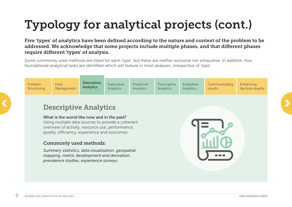<span id="page-8-0"></span>Five 'types' of analytics have been defined according to the nature and context of the problem to be addressed. We acknowledge that some projects include multiple phases, and that different phases require different 'types' of analysis.

Some commonly used methods are listed for each 'type', but these are neither exclusive nor exhaustive. In addition, four foundational analytical tasks are identified which will feature in most analyses, irrespective of 'type'.

| Problem<br>Structuring | <b>Data</b><br>Management | <b>Descriptive</b><br><b>Analytics</b> | Explicative<br><b>Analytics</b> | Predictive<br>Analytics | Prescriptive<br>Analytics | Evaluative<br>Analytics | Communicating<br>results | Enhancing<br>decision quality |  |
|------------------------|---------------------------|----------------------------------------|---------------------------------|-------------------------|---------------------------|-------------------------|--------------------------|-------------------------------|--|
|                        |                           |                                        |                                 |                         |                           |                         |                          |                               |  |

## Descriptive Analytics **CONSERVERSION DESCRiptive Analytics**

#### What is the world like now and in the past?

Using multiple data sources to provide a coherent overview of activity, resource use, performance, quality, efficiency, experience and outcomes.

#### Commonly used methods:

*Summary statistics, data visualisation, geospatial mapping, metric development and derivation, prevalence studies, experience surveys.*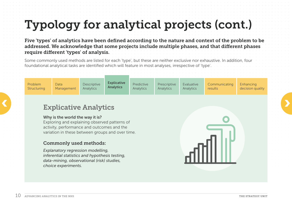<span id="page-9-0"></span>Five 'types' of analytics have been defined according to the nature and context of the problem to be addressed. We acknowledge that some projects include multiple phases, and that different phases require different 'types' of analysis.

Some commonly used methods are listed for each 'type', but these are neither exclusive nor exhaustive. In addition, four foundational analytical tasks are identified which will feature in most analyses, irrespective of 'type'.

| Problem     | Data       | Descriptive      | <b>Explicative</b><br><b>Analytics</b> | Predictive | Prescriptive     | Evaluative       | Communicating | Enhancing        |  |
|-------------|------------|------------------|----------------------------------------|------------|------------------|------------------|---------------|------------------|--|
| Structuring | Management | <b>Analytics</b> |                                        | Analytics  | <b>Analytics</b> | <b>Analytics</b> | results       | decision quality |  |
|             |            |                  |                                        |            |                  |                  |               |                  |  |

## Explicative Analytics **CONTRACT CONTRACT CONTRACT CONTRACT CONTRACT CONTRACT CONTRACT CONTRACT CONTRACT CONTRACT CONTRACT CONTRACT CONTRACT CONTRACT CONTRACT CONTRACT CONTRACT CONTRACT CONTRACT CONTRACT CONTRACT CONTRACT CONTRACT CONTRACT CONTR**

#### Why is the world the way it is?

Exploring and explaining observed patterns of activity, performance and outcomes and the variation in these between groups and over time.

#### Commonly used methods:

*Explanatory regression modelling, inferential statistics and hypothesis testing, data-mining, observational (risk) studies, choice experiments.*

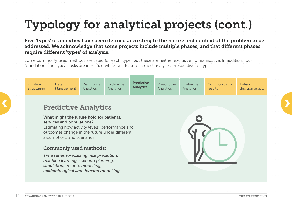<span id="page-10-0"></span>Five 'types' of analytics have been defined according to the nature and context of the problem to be addressed. We acknowledge that some projects include multiple phases, and that different phases require different 'types' of analysis.

Some commonly used methods are listed for each 'type', but these are neither exclusive nor exhaustive. In addition, four foundational analytical tasks are identified which will feature in most analyses, irrespective of 'type'.

## Predictive Analytics **CONTRACTE CONTRACTE CONTRACTE CONTRACTE CONTRACTE CONTRACTE CONTRACTE CONTRACTE CONTRACTE CONTRACTE CONTRACTE CONTRACTE CONTRACTE CONTRACTE CONTRACTE CONTRACTE CONTRACTE CONTRACTE CONTRACTE CONTRACTE CONTRACTE CONTRACTE C**

#### What might the future hold for patients, services and populations?

Estimating how activity levels, performance and outcomes change in the future under different assumptions and scenarios.

#### Commonly used methods:

*Time series forecasting, risk prediction, machine learning, scenario planning, simulation, ex-ante modelling, epidemiological and demand modelling.*

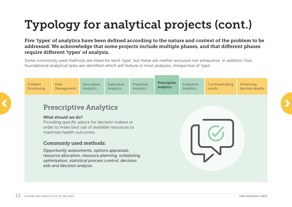<span id="page-11-0"></span>Five 'types' of analytics have been defined according to the nature and context of the problem to be addressed. We acknowledge that some projects include multiple phases, and that different phases require different 'types' of analysis.

Some commonly used methods are listed for each 'type', but these are neither exclusive nor exhaustive. In addition, four foundational analytical tasks are identified which will feature in most analyses, irrespective of 'type'.

| Problem<br>Structuring | Data <sup>1</sup><br>Management | Descriptive<br>Analytics | Explicative<br>Analytics | Predictive<br>Analytics | <b>Prescriptive</b><br><b>Analytics</b> | Evaluative<br>Analytics | Communicating<br>results | Enhancing<br>decision quality |  |
|------------------------|---------------------------------|--------------------------|--------------------------|-------------------------|-----------------------------------------|-------------------------|--------------------------|-------------------------------|--|
|                        |                                 |                          |                          |                         |                                         |                         |                          |                               |  |

# **C**<br> **Prescriptive Analytics**

#### What should we do?

Providing specific advice for decision makers in order to make best use of available resources to maximise health outcomes.

#### Commonly used methods:

*Opportunity assessments, options appraisals, resource allocation, resource planning, scheduling, optimisation, statistical process control, decision aids and decision analysis.*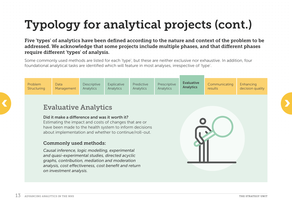<span id="page-12-0"></span>Five 'types' of analytics have been defined according to the nature and context of the problem to be addressed. We acknowledge that some projects include multiple phases, and that different phases require different 'types' of analysis.

Some commonly used methods are listed for each 'type', but these are neither exclusive nor exhaustive. In addition, four foundational analytical tasks are identified which will feature in most analyses, irrespective of 'type'.

| Problem     | Data       | <b>Descriptive</b> | Explicative | Predictive       | Prescriptive | <b>Evaluative</b> | Communicating | Enhancing        |  |
|-------------|------------|--------------------|-------------|------------------|--------------|-------------------|---------------|------------------|--|
| Structuring | Management | Analytics          | Analytics   | <b>Analytics</b> | Analytics    | <b>Analytics</b>  | results       | decision quality |  |
|             |            |                    |             |                  |              |                   |               |                  |  |

## Evaluative Analytics **CONTRACTE SERVICE SERVICE SERVICE SERVICE SERVICE SERVICE SERVICE SERVICE SERVICE SERVICE SERVICE SERVICE SERVICE SERVICE SERVICE SERVICE SERVICE SERVICE SERVICE SERVICE SERVICE SERVICE SERVICE SERVICE SERVICE SERVICE SER**

#### Did it make a difference and was it worth it?

Estimating the impact and costs of changes that are or have been made to the health system to inform decisions about implementation and whether to continue/roll-out.

#### Commonly used methods:

*Causal inference, logic modelling, experimental and quasi-experimental studies, directed acyclic graphs, contribution, mediation and moderation analysis, cost effectiveness, cost benefit and return on investment analysis.*

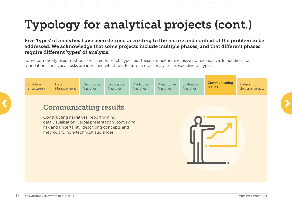<span id="page-13-0"></span>Five 'types' of analytics have been defined according to the nature and context of the problem to be addressed. We acknowledge that some projects include multiple phases, and that different phases require different 'types' of analysis.

Some commonly used methods are listed for each 'type', but these are neither exclusive nor exhaustive. In addition, four foundational analytical tasks are identified which will feature in most analyses, irrespective of 'type'.

| Problem     | <b>Data</b> | <b>Descriptive</b> | Explicative | Predictive | Prescriptive | Evaluative | Communicating<br>results | Enhancing        |  |
|-------------|-------------|--------------------|-------------|------------|--------------|------------|--------------------------|------------------|--|
| Structuring | Management  | Analytics          | Analytics   | Analytics  | Analytics    | Analytics  |                          | decision quality |  |

# **Communicating results**

Constructing narratives, report writing, data visualisation, verbal presentation, conveying risk and uncertainty, describing concepts and methods to non-technical audiences.

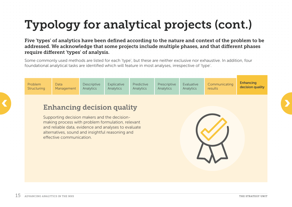<span id="page-14-0"></span>Five 'types' of analytics have been defined according to the nature and context of the problem to be addressed. We acknowledge that some projects include multiple phases, and that different phases require different 'types' of analysis.

Some commonly used methods are listed for each 'type', but these are neither exclusive nor exhaustive. In addition, four foundational analytical tasks are identified which will feature in most analyses, irrespective of 'type'.

| Problem<br>Structuring | <b>Data</b><br>Management | Descriptive<br>Analytics | Explicative<br><b>Analytics</b> | Predictive<br>Analytics | Prescriptive<br>Analytics | Evaluative<br>Analytics | Communicating<br>results | <b>Enhancing</b><br>decision quality |  |
|------------------------|---------------------------|--------------------------|---------------------------------|-------------------------|---------------------------|-------------------------|--------------------------|--------------------------------------|--|
|                        |                           |                          |                                 |                         |                           |                         |                          |                                      |  |

# Enhancing decision quality

Supporting decision makers and the decisionmaking process with problem formulation, relevant and reliable data, evidence and analyses to evaluate alternatives, sound and insightful reasoning and effective communication.

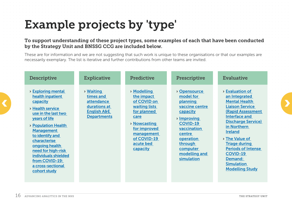## <span id="page-15-0"></span>Example projects by 'type'

To support understanding of these project types, some examples of each that have been conducted by the Strategy Unit and BNSSG CCG are included below.

These are for information and we are not suggesting that such work is unique to these organisations or that our examples are necessarily exemplary. The list is iterative and further contributions from other teams are invited.

| <b>Descriptive</b>                                                                                                                                                                                                                                                                                                             | <b>Explicative</b>                                                                                             | <b>Predictive</b>                                                                                                                                                                       | Prescriptive                                                                                                                                                                                      | <b>Evaluative</b>                                                                                                                                                                                                                                                                                                                                                          |  |
|--------------------------------------------------------------------------------------------------------------------------------------------------------------------------------------------------------------------------------------------------------------------------------------------------------------------------------|----------------------------------------------------------------------------------------------------------------|-----------------------------------------------------------------------------------------------------------------------------------------------------------------------------------------|---------------------------------------------------------------------------------------------------------------------------------------------------------------------------------------------------|----------------------------------------------------------------------------------------------------------------------------------------------------------------------------------------------------------------------------------------------------------------------------------------------------------------------------------------------------------------------------|--|
| <b>&gt; Exploring mental</b><br>health inpatient<br>capacity<br>> Health service<br>use in the last two<br>years of life<br>> Population Health<br><b>Management</b><br>to identify and<br>characterise<br>ongoing health<br>need for high-risk<br>individuals shielded<br>from COVID-19:<br>a cross-sectional<br>cohort study | <b>&gt; Waiting</b><br>times and<br>attendance<br>durations at<br><b>English A&amp;E</b><br><b>Departments</b> | » Modelling<br>the impact<br>of COVID on<br><b>waiting lists</b><br>for planned<br>care<br><b>&gt; Nowcasting</b><br>for improved<br>management<br>of COVID-19<br>acute bed<br>capacity | > Opensource<br>model for<br>planning<br>vaccine centre<br>capacity<br>> Improving<br><b>COVID-19</b><br>vaccination<br>centre<br>operation<br>through<br>computer<br>modelling and<br>simulation | <b>&gt; Evaluation of</b><br>an Integrated<br><b>Mental Health</b><br><b>Liaison Service</b><br><b>(Rapid Assessment)</b><br><b>Interface and</b><br><b>Discharge Service)</b><br>in Northern<br><b>Ireland</b><br>> The Value of<br><b>Triage during</b><br><b>Periods of Intense</b><br><b>COVID-19</b><br><b>Demand:</b><br><b>Simulation</b><br><b>Modelling Study</b> |  |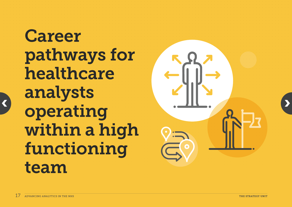<span id="page-16-0"></span>**Career** pathways for healthcare analysts operating within a high functioning team

[‹](#page-15-0)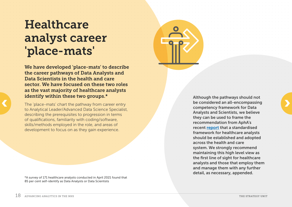## <span id="page-17-0"></span>**Healthcare** analyst career 'place-mats'

We have developed 'place-mats' to describe the career pathways of Data Analysts and Data Scientists in the health and care sector. We have focused on these two roles as the vast majority of healthcare analysts identify within these two groups.\*

The 'place-mats' chart the pathway from career entry to Analytical Leader/Advanced Data Science Specialist, describing the prerequisites to progression in terms of qualifications, familiarity with coding/software, skills/methods employed in the role, and areas of development to focus on as they gain experience.

\*A survey of 171 healthcare analysts conducted in April 2021 found that 85 per cent self-identify as Data Analysts or Data Scientists

Although the pathways should not be considered an all-encompassing competency framework for Data Analysts and Scientists, we believe they can be used to frame the recommendation from AphA's recent [report](https://www.aphanalysts.org/apha-hub/competency-framework-report/) that a standardised framework for healthcare analysts should be established and adopted across the health and care system. We strongly recommend maintaining this high level view as the first line of sight for healthcare analysts and those that employ them and manage them with any further detail, as necessary, appended.



[‹](#page-16-0)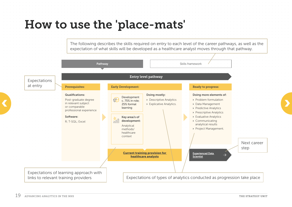<span id="page-18-0"></span>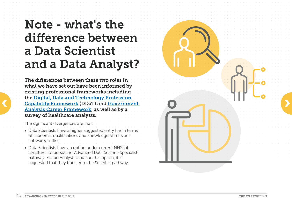## <span id="page-19-0"></span>Note - what's the difference between a Data Scientist and a Data Analyst?

The differences between these two roles in what we have set out have been informed by existing professional frameworks including the [Digital, Data and Technology Profession](https://www.gov.uk/government/collections/digital-data-and-technology-profession-capability-framework#data-job-family)  [Capability Framework](https://www.gov.uk/government/collections/digital-data-and-technology-profession-capability-framework#data-job-family) (DDaT) and [Government](https://gss.civilservice.gov.uk/wp-content/uploads/2018/06/Career_Framework_Nov19.pdf)  [Analysis Career Framework](https://gss.civilservice.gov.uk/wp-content/uploads/2018/06/Career_Framework_Nov19.pdf), as well as by a survey of healthcare analysts.

The significant divergences are that:

[‹](#page-18-0)

- › Data Scientists have a higher suggested entry bar in terms of academic qualifications and knowledge of relevant software/coding
- › Data Scientists have an option under current NHS job structures to pursue an 'Advanced Data Science Specialist' pathway. For an Analyst to pursue this option, it is suggested that they transfer to the Scientist pathway.

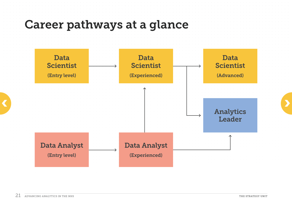<span id="page-20-0"></span>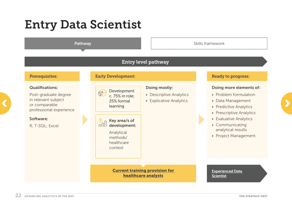## <span id="page-21-0"></span>Entry Data Scientist

#### Pathway

#### Entry level pathway

#### Prerequisites:

#### Qualifications:

Post-graduate degree in relevant subject or comparable professional experience Frequent subject experience experience experience experience experience experience experience experience experience experience experience experience experience experience experience experience experience experience experie

#### Software:

R; T-SQL; Excel

|--|

#### Development c. 75% in role; 25% formal learning

- 
- 
- 

而 development:

> Analytical methods/ healthcare context

#### Doing mostly:

- › Descriptive Analytics
- › Explicative Analytics.



› Project Management. Skills framework<br>
Doing n<br>
> Proble<br>
> Predic<br>
> Presc<br>
> Evalua<br>
> Comr<br>
analyt<br>
> Projec<br>
> Projec<br>
<br>
Experien<br>
Scientist

Doing more elements of:

› Problem formulation › Data Management › Predictive Analytics › Prescriptive Analytics › Evaluative Analytics › Communicating analytical results

Ready to progress:

[Current training provision for](#page-33-0)  [healthcare analysts](#page-33-0)

Experienced Data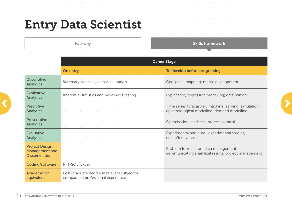## <span id="page-22-0"></span>Entry Data Scientist

Pathway

Skills framework

|                                                                  |                                                                                   | <b>Career Stage</b>                                                                                   |
|------------------------------------------------------------------|-----------------------------------------------------------------------------------|-------------------------------------------------------------------------------------------------------|
|                                                                  | On entry                                                                          | To develop before progressing                                                                         |
| <b>Descriptive</b><br><b>Analytics</b>                           | Summary statistics; data visualisation                                            | Geospatial mapping; metric development                                                                |
| <b>Explicative</b><br><b>Analytics</b>                           | Inferential statistics and hypothesis testing                                     | Explanatory regression modelling; data mining                                                         |
| <b>Predictive</b><br><b>Analytics</b>                            |                                                                                   | Time series forecasting; machine learning; simulation;<br>epidemiological modelling; demand modelling |
| Prescriptive<br><b>Analytics</b>                                 |                                                                                   | Optimisation; statistical process control                                                             |
| <b>Evaluative</b><br><b>Analytics</b>                            |                                                                                   | Experimental and quasi-experimental studies;<br>cost effectiveness                                    |
| Project Design,<br><b>Management and</b><br><b>Dissemination</b> |                                                                                   | Problem formulation; data management;<br>communicating analytical results; project management         |
| Coding/software                                                  | R; T-SQL; Excel                                                                   |                                                                                                       |
| <b>Academic or</b><br>equivalent                                 | Post-graduate degree in relevant subject or<br>comparable professional experience |                                                                                                       |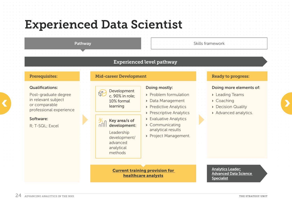## <span id="page-23-0"></span>Experienced Data Scientist

#### Pathway

#### Experienced level pathway

#### Prerequisites: Mid-career Development

#### Qualifications:

Fract Schwale Schwale C. 90% in role;<br>
or comparable to the comparable to the content of the content of the content of the content of the content of the content of the content of the content of the content of the content o Post-graduate degree in relevant subject or comparable professional experience

#### Software:

R; T-SQL; Excel

#### Development c. 90% in role; 10% formal learning

而 Key area/s of development:

> Leadership development/ advanced analytical methods

#### Doing mostly:

- › Problem formulation
- › Data Management
- › Predictive Analytics
- › Prescriptive Analytics
- › Evaluative Analytics
- › Communicating analytical results
- › Project Management.

#### Ready to progress:

#### Doing more elements of:

- › Leading Teams
- › Coaching
- › Decision Quality
- › Advanced analytics.

[Current training provision for](#page-33-0)  [healthcare analysts](#page-33-0)

[Analytics Leader;](#page-29-0) [Advanced Data Science](#page-29-0)  Skills framework<br>
Ready to<br>
Doing m<br>
> Leadin<br>
> Coach<br>
> Decisio<br>
> Advanced<br>
<u>Analytics</u><br>
<u>Advanced</u><br> [Specialist](#page-29-0)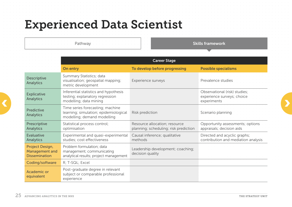## <span id="page-24-0"></span>Experienced Data Scientist

Pathway

Skills framework

|                                                                  | <b>Career Stage</b>                                                                                      |                                                                        |                                                                            |  |  |  |  |  |  |  |
|------------------------------------------------------------------|----------------------------------------------------------------------------------------------------------|------------------------------------------------------------------------|----------------------------------------------------------------------------|--|--|--|--|--|--|--|
|                                                                  | On entry                                                                                                 | To develop before progressing                                          | <b>Possible specialisms</b>                                                |  |  |  |  |  |  |  |
| <b>Descriptive</b><br><b>Analytics</b>                           | Summary Statistics; data<br>visualisation; geospatial mapping;<br>metric development                     | Experience surveys                                                     | Prevalence studies                                                         |  |  |  |  |  |  |  |
| <b>Explicative</b><br><b>Analytics</b>                           | Inferential statistics and hypothesis<br>testing; explanatory regression<br>modelling; data mining       |                                                                        | Observational (risk) studies;<br>experience surveys; choice<br>experiments |  |  |  |  |  |  |  |
| <b>Predictive</b><br><b>Analytics</b>                            | Time series forecasting; machine<br>learning; simulation; epidemiological<br>modelling; demand modelling | Risk prediction                                                        | Scenario planning                                                          |  |  |  |  |  |  |  |
| Prescriptive<br><b>Analytics</b>                                 | Statistical process control;<br>optimisation                                                             | Resource allocation; resource<br>planning; scheduling; risk prediction | Opportunity assessments; options<br>appraisals; decision aids              |  |  |  |  |  |  |  |
| <b>Evaluative</b><br><b>Analytics</b>                            | Experimental and quasi-experimental<br>studies; cost effectiveness                                       | Causal inference; qualitative<br>methods                               | Directed and acyclic graphs;<br>contribution and mediation analysis        |  |  |  |  |  |  |  |
| Project Design,<br><b>Management and</b><br><b>Dissemination</b> | Problem formulation; data<br>management; communicating<br>analytical results; project management         | Leadership development; coaching;<br>decision quality                  |                                                                            |  |  |  |  |  |  |  |
| Coding/software                                                  | R; T-SQL; Excel                                                                                          |                                                                        |                                                                            |  |  |  |  |  |  |  |
| <b>Academic or</b><br>equivalent                                 | Post-graduate degree in relevant<br>subject or comparable professional<br>experience                     |                                                                        |                                                                            |  |  |  |  |  |  |  |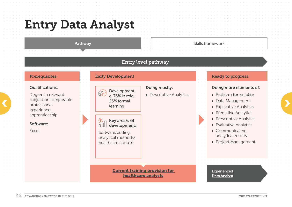## <span id="page-25-0"></span>Entry Data Analyst

#### Pathway

#### Entry level pathway

#### Qualifications:

subject or comparable<br>professional experience;<br>experience; Degree in relevant subject or comparable professional experience; apprenticeship

#### Software:

Excel



#### Development c. 75% in role; 25% formal learning

- Doing mostly:
- › Descriptive Analytics.



Software/coding; analytical methods/ healthcare context

> [Current training provision for](#page-33-0)  [healthcare analysts](#page-33-0)

#### Ready to progress:

#### Doing more elements of:

- › Problem formulation
- › Data Management
- › Explicative Analytics
- › Predictive Analytics
- › Prescriptive Analytics
- › Evaluative Analytics
- › Communicating analytical results Skills framework<br>
<br> **Ready to p<br>
Doing more<br>
> Problem<br>
> Data Man<br>
> Explicative<br>
> Prescripti<br>
> Prescripti<br>
> Communalytical<br>
> Project M<br>
> Project M<br>
<br>
Experienced<br> [Data Analyst](#page-27-0)** 
	- › Project Management.

## [Experienced](#page-27-0)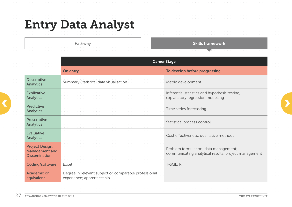## <span id="page-26-0"></span>Entry Data Analyst

Pathway

Skills framework

|                                                           |                                                                                     | <b>Career Stage</b>                                                                           |
|-----------------------------------------------------------|-------------------------------------------------------------------------------------|-----------------------------------------------------------------------------------------------|
|                                                           | On entry                                                                            | To develop before progressing                                                                 |
| <b>Descriptive</b><br><b>Analytics</b>                    | Summary Statistics; data visualisation                                              | Metric development                                                                            |
| <b>Explicative</b><br><b>Analytics</b>                    |                                                                                     | Inferential statistics and hypothesis testing;<br>explanatory regression modelling            |
| <b>Predictive</b><br><b>Analytics</b>                     |                                                                                     | Time series forecasting                                                                       |
| Prescriptive<br><b>Analytics</b>                          |                                                                                     | Statistical process control                                                                   |
| <b>Evaluative</b><br><b>Analytics</b>                     |                                                                                     | Cost effectiveness; qualitative methods                                                       |
| Project Design,<br>Management and<br><b>Dissemination</b> |                                                                                     | Problem formulation; data management;<br>communicating analytical results; project management |
| Coding/software                                           | Excel                                                                               | T-SQL; R                                                                                      |
| Academic or<br>equivalent                                 | Degree in relevant subject or comparable professional<br>experience; apprenticeship |                                                                                               |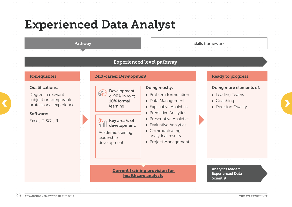## <span id="page-27-0"></span>Experienced Data Analyst

#### Pathway

#### Experienced level pathway

#### Qualifications:

subject or comparable<br>professional experience<br>the arming<br>tearning<br>tearning<br>tearning<br>tearning<br>tearning<br>tearning<br>tearning<br>tearning<br>tearning<br>tearning<br>tearning<br>tearning<br>tearning<br>tearning<br>tearning<br>tearning<br>tearning<br>tearning<br>tea Degree in relevant subject or comparable professional experience

#### Software:

Excel, T-SQL, R

#### Prerequisites: Mid-career Development

| Development<br>c. 90% in role;<br>10% formal |
|----------------------------------------------|
| learning                                     |

 $K_{\Pi}$  Key area/s of nnll development:

Academic training; leadership development

#### Doing mostly:

- › Problem formulation
- › Data Management
- › Explicative Analytics
- › Predictive Analytics
- › Prescriptive Analytics
- › Evaluative Analytics
- › Communicating analytical results
- › Project Management.

# Skills framework<br> **Ready t<br>
Doing n<br>
> Leadin<br>
> Coacl<br>
> Decis<br>
<u>Analytics</u><br>
Experien<br> [Scientist](#page-29-0)**

[Current training provision for](#page-33-0)  [healthcare analysts](#page-33-0)

[Analytics leader;](#page-29-0)  [Experienced Data](#page-29-0) 

Doing more elements of:

› Leading Teams

Ready to progress:

› Decision Quality.

› Coaching

#### 2.8 ADVANCING ANALYTICS IN THE NHS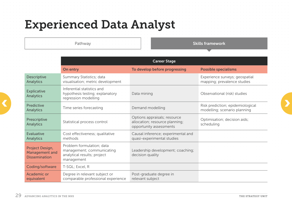## <span id="page-28-0"></span>Experienced Data Analyst

Pathway

Skills framework

|                                                                  | <b>Career Stage</b>                                                                                 |                                                                                           |                                                                  |  |  |  |  |  |  |  |
|------------------------------------------------------------------|-----------------------------------------------------------------------------------------------------|-------------------------------------------------------------------------------------------|------------------------------------------------------------------|--|--|--|--|--|--|--|
|                                                                  | On entry                                                                                            | To develop before progressing                                                             | <b>Possible specialisms</b>                                      |  |  |  |  |  |  |  |
| <b>Descriptive</b><br><b>Analytics</b>                           | Summary Statistics; data<br>visualisation; metric development.                                      |                                                                                           | Experience surveys; geospatial<br>mapping; prevalence studies    |  |  |  |  |  |  |  |
| <b>Explicative</b><br><b>Analytics</b>                           | Inferential statistics and<br>hypothesis testing; explanatory<br>regression modelling               | Data mining                                                                               | Observational (risk) studies                                     |  |  |  |  |  |  |  |
| Predictive<br><b>Analytics</b>                                   | Time series forecasting                                                                             | Demand modelling                                                                          | Risk prediction; epidemiological<br>modelling; scenario planning |  |  |  |  |  |  |  |
| Prescriptive<br><b>Analytics</b>                                 | Statistical process control                                                                         | Options appraisals; resource<br>allocation; resource planning;<br>opportunity assessments | Optimisation; decision aids;<br>scheduling                       |  |  |  |  |  |  |  |
| <b>Evaluative</b><br><b>Analytics</b>                            | Cost effectiveness; qualitative<br>methods                                                          | Causal inference; experimental and<br>quasi-experimental studies                          |                                                                  |  |  |  |  |  |  |  |
| Project Design,<br><b>Management and</b><br><b>Dissemination</b> | Problem formulation; data<br>management; communicating<br>analytical results; project<br>management | Leadership development; coaching;<br>decision quality                                     |                                                                  |  |  |  |  |  |  |  |
| Coding/software                                                  | T-SQL; Excel, R                                                                                     |                                                                                           |                                                                  |  |  |  |  |  |  |  |
| <b>Academic or</b><br>equivalent                                 | Degree in relevant subject or<br>comparable professional experience                                 | Post-graduate degree in<br>relevant subject                                               |                                                                  |  |  |  |  |  |  |  |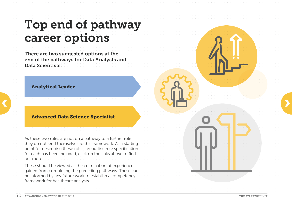## <span id="page-29-0"></span>Top end of pathway career options

There are two suggested options at the end of the pathways for Data Analysts and Data Scientists:

#### Analytical Leader

#### Advanced Data Science Specialist

As these two roles are not on a pathway to a further role, they do not lend themselves to this framework. As a starting point for describing these roles, an outline role specification for each has been included, click on the links above to find out more.

 $\sim$   $\sim$   $\sim$   $\sim$   $\sim$   $\sim$   $\sim$   $\sim$ 

These should be viewed as the culmination of experience gained from completing the preceding pathways. These can be informed by any future work to establish a competency framework for healthcare analysts.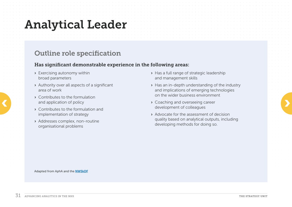## <span id="page-30-0"></span>Analytical Leader

### Outline role specification

#### Has significant demonstrable experience in the following areas:

- › Exercising autonomy within broad parameters
- › Authority over all aspects of a significant area of work
- › Contributes to the formulation and application of policy
- › Contributes to the formulation and implementation of strategy
- › Addresses complex, non-routine organisational problems
- › Has a full range of strategic leadership and management skills
- › Has an in-depth understanding of the industry and implications of emerging technologies on the wider business environment
- › Coaching and overseeing career development of colleagues • Contributes to the formulation<br>and application of policy<br>• Contributes to the formulation and<br>• Contributes to the formulation and<br>• Contributes to the formulation and
	- › Advocate for the assessment of decision quality based on analytical outputs, including developing methods for doing so.

Adapted from AphA and the [NWSkDF](https://www.skillsdevelopmentnetwork.com/index.php)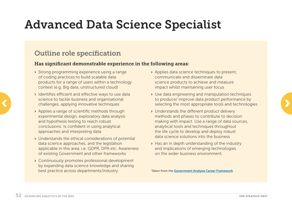## <span id="page-31-0"></span>Advanced Data Science Specialist

#### Outline role specification

#### Has significant demonstrable experience in the following areas:

- › Strong programming experience using a range of coding practices to build scalable data products for a range of users within a technology context (e.g. Big data, unstructured cloud)
- › Identifies efficient and effective ways to use data science to tackle business and organisational challenges, applying innovative techniques
- › Applies a range of scientific methods through experimental design, exploratory data analysis and hypothesis testing to reach robust conclusions. Is confident in using analytical approaches and interpreting data
- › Understands the ethical considerations of potential data science approaches, and the legislation applicable in this area, i.e. GDPR, DPA etc. Awareness of existing Government and other frameworks
- › Continuously promotes professional development by expanding data science knowledge and sharing best practice across departments/industry
- › Applies data science techniques to present, communicate and disseminate data science products to achieve and measure impact whilst maintaining user focus
- › Use data engineering and manipulation techniques to produce/ improve data product performance by selecting the most appropriate tools and technologies science to tackle business and organisational<br>
challenges, applying innovative techniques<br>
and the most appropriate tools and technologies<br>
and the most appropriate tools and technologies<br>
and the most appropriate tools an
	- › Understands the different product delivery methods and phases to contribute to decision making with impact. Use a range of data sources, analytical tools and techniques throughout the life cycle to develop and deploy robust data science solutions into the business
	- › Has an in depth understanding of the industry and implications of emerging technologies on the wider business environment.

Taken from the [Government Analysis Career Framework](https://assets.publishing.service.gov.uk/government/uploads/system/uploads/attachment_data/file/941369/Analysis-Function-Career-Framework.pdf)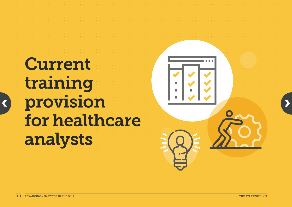# <span id="page-32-0"></span>Current training provision for healthcare analysts

[‹](#page-31-0)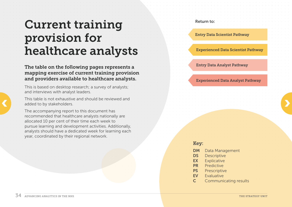## <span id="page-33-0"></span>Current training provision for healthcare analysts

The table on the following pages represents a mapping exercise of current training provision and providers available to healthcare analysts.

This is based on desktop research; a survey of analysts; and interviews with analyst leaders.

This table is not exhaustive and should be reviewed and added to by stakeholders.

The accompanying report to this document has recommended that healthcare analysts nationally are allocated 10 per cent of their time each week to pursue learning and development activities. Additionally, analysts should have a dedicated week for learning each year, coordinated by their regional network.

Entry Data Scientist Pathway Experienced Data Scientist Pathway

Return to:

Entry Data Analyst Pathway

Experienced Data Analyst Pathway

#### Key:

- **DM** Data Management
- DS Descriptive
- EX Explicative
- PR Predictive
- PS Prescriptive
- EV Evaluative
- C Communicating results

[‹](#page-32-0)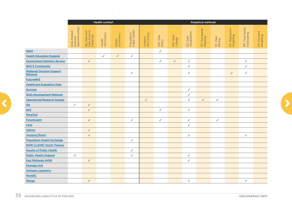<span id="page-34-0"></span>

|                                                    | <b>Health context</b>                         |                                           |                       |                     |                              |                        |                    |                     | Analytical methods        |                           |                    |                             |                                |                         |
|----------------------------------------------------|-----------------------------------------------|-------------------------------------------|-----------------------|---------------------|------------------------------|------------------------|--------------------|---------------------|---------------------------|---------------------------|--------------------|-----------------------------|--------------------------------|-------------------------|
|                                                    |                                               |                                           |                       |                     |                              |                        |                    |                     |                           |                           |                    |                             |                                |                         |
|                                                    | Data Analyst/<br>Scientist<br>Apprenticeships |                                           |                       |                     |                              |                        |                    |                     |                           | DS: Geospatial<br>Mapping |                    | EX. Regression<br>Modelling | PR: Time Series<br>Forecasting |                         |
|                                                    |                                               | Big Data and<br>Data Science<br>Explained | Health<br>Informatics | Health<br>Economics | Population/<br>Public Health | Problem<br>Structuring |                    |                     | DS: Data<br>Visualisation |                           |                    |                             |                                | PR: Demand<br>Modelling |
|                                                    |                                               |                                           |                       |                     |                              |                        | DM: Data<br>Ethics | DM: Data<br>Linkage |                           |                           | EX: Data<br>Mining |                             |                                |                         |
|                                                    |                                               |                                           |                       |                     |                              |                        |                    |                     |                           |                           |                    |                             |                                |                         |
|                                                    |                                               |                                           |                       |                     |                              |                        |                    |                     |                           |                           |                    |                             |                                |                         |
| <b>AphA</b>                                        |                                               |                                           |                       |                     |                              |                        | $\checkmark$       |                     |                           |                           |                    |                             |                                |                         |
| <b>Health Education England</b>                    |                                               |                                           | $\checkmark$          | $\checkmark$        | $\checkmark$                 |                        |                    |                     |                           |                           |                    |                             |                                |                         |
| <b>Government Statistics Service</b>               |                                               | $\checkmark$                              |                       |                     |                              |                        | $\checkmark$       | $\checkmark$        | $\checkmark$              |                           |                    |                             | ✓                              |                         |
| <b>NHS R Community</b>                             |                                               |                                           |                       |                     |                              |                        |                    |                     | $\checkmark$              |                           |                    |                             | $\checkmark$                   |                         |
| <b>Midlands Decision Support</b><br><b>Network</b> |                                               |                                           |                       |                     | $\checkmark$                 |                        |                    |                     | $\checkmark$              |                           |                    | $\checkmark$                | $\checkmark$                   |                         |
| <b>FutureNHS</b>                                   |                                               |                                           |                       |                     |                              |                        |                    |                     |                           |                           |                    |                             |                                |                         |
| <b>Healthcare Evaluation Data</b>                  |                                               |                                           |                       |                     |                              |                        |                    |                     |                           |                           |                    |                             |                                |                         |
| <b>Kurtosis</b>                                    |                                               |                                           |                       |                     |                              |                        |                    |                     | $\checkmark$              |                           |                    |                             |                                |                         |
| <b>Skills Development Network</b>                  |                                               |                                           |                       |                     |                              |                        |                    |                     | $\checkmark$              |                           |                    |                             |                                |                         |
| <b>Operational Research Society</b>                |                                               |                                           |                       |                     |                              | $\checkmark$           |                    |                     | $\checkmark$              | $\checkmark$              | $\checkmark$       |                             |                                |                         |
| QA                                                 | $\checkmark$                                  | $\checkmark$                              |                       |                     |                              |                        |                    |                     |                           |                           |                    |                             |                                |                         |
| <b>EDX</b>                                         |                                               | $\checkmark$                              |                       |                     |                              |                        | $\checkmark$       |                     | $\checkmark$              |                           |                    |                             |                                |                         |
| <b>WiseOwl</b>                                     |                                               |                                           |                       |                     |                              |                        |                    |                     |                           |                           |                    |                             |                                |                         |
| <b>FutureLearn</b>                                 |                                               | $\checkmark$                              |                       |                     | $\checkmark$                 |                        | $\checkmark$       |                     | $\sqrt{2}$                |                           | $\checkmark$       |                             |                                |                         |
| Laria                                              |                                               |                                           |                       |                     |                              |                        |                    |                     | $\checkmark$              |                           |                    |                             |                                |                         |
| <b>Udemy</b>                                       |                                               | $\checkmark$                              |                       |                     |                              |                        |                    |                     |                           |                           |                    |                             |                                |                         |
| <b>Jumping Rivers</b>                              |                                               | $\checkmark$                              |                       |                     |                              |                        |                    |                     | $\checkmark$              |                           |                    |                             | ✓                              |                         |
| <b>Population Health Exchange</b>                  |                                               |                                           |                       |                     | $\checkmark$                 |                        |                    |                     |                           |                           |                    |                             |                                |                         |
| <b>NIHR CLAHRC North Thames</b>                    |                                               |                                           |                       |                     |                              |                        |                    |                     |                           |                           |                    |                             |                                |                         |
| <b>Faculty of Public Health</b>                    |                                               |                                           |                       |                     | $\checkmark$                 |                        |                    |                     |                           |                           |                    |                             |                                |                         |
| <b>Public Health England</b>                       | $\checkmark$                                  |                                           |                       |                     | $\checkmark$                 |                        |                    |                     | $\checkmark$              |                           |                    |                             |                                |                         |
| <b>East Midlands AHSN</b>                          |                                               | $\checkmark$                              |                       |                     |                              |                        |                    |                     | $\checkmark$              |                           |                    |                             |                                |                         |
| <b>Strategy Unit</b>                               |                                               |                                           |                       |                     |                              |                        |                    |                     |                           |                           |                    |                             |                                |                         |
| <b>Software carpentry</b>                          |                                               |                                           |                       |                     |                              |                        |                    |                     |                           |                           |                    |                             |                                |                         |
| <b>PenARC</b>                                      |                                               |                                           |                       |                     |                              |                        |                    |                     |                           |                           |                    |                             |                                |                         |
| Mango                                              |                                               | $\checkmark$                              |                       |                     |                              |                        |                    |                     | $\checkmark$              |                           |                    |                             | $\checkmark$                   |                         |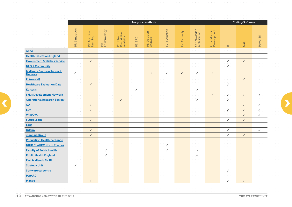<span id="page-35-0"></span>

|                                                    |                |                         |                     |                                           |              | Analytical methods       | Coding/Software |               |                              |                              |              |              |          |
|----------------------------------------------------|----------------|-------------------------|---------------------|-------------------------------------------|--------------|--------------------------|-----------------|---------------|------------------------------|------------------------------|--------------|--------------|----------|
|                                                    |                |                         |                     |                                           |              |                          |                 |               |                              |                              |              |              |          |
|                                                    | PR: Simulation | PR: Machine<br>Learning | PR:<br>Epidemiology | PS: Intro to<br>Prescriptive<br>Analytics | PS: SPC      | PS: Decision<br>Analysis | EV: Evaluation  | EV: Causality | C: Knowledge<br>Mobilisation | C: Leadership<br>Development |              |              | Power BI |
|                                                    |                |                         |                     |                                           |              |                          |                 |               |                              |                              | $\simeq$     | SQL          |          |
| <b>AphA</b>                                        |                |                         |                     |                                           |              |                          |                 |               |                              |                              |              |              |          |
| <b>Health Education England</b>                    |                |                         |                     |                                           |              |                          |                 |               |                              |                              |              |              |          |
| <b>Government Statistics Service</b>               |                | $\checkmark$            |                     |                                           |              |                          |                 |               |                              |                              | V            | $\checkmark$ |          |
| <b>NHS R Community</b>                             |                |                         |                     |                                           |              |                          |                 |               |                              |                              | $\checkmark$ |              |          |
| <b>Midlands Decision Support</b><br><b>Network</b> | $\checkmark$   |                         |                     |                                           |              | $\checkmark$             | $\checkmark$    | $\checkmark$  | $\checkmark$                 | $\checkmark$                 |              |              |          |
| <b>FutureNHS</b>                                   |                |                         |                     |                                           |              |                          |                 |               |                              |                              |              | $\checkmark$ |          |
| <b>Healthcare Evaluation Data</b>                  |                | $\checkmark$            |                     |                                           |              |                          |                 |               |                              |                              | ✓            |              |          |
| <b>Kurtosis</b>                                    |                |                         |                     |                                           | $\checkmark$ |                          |                 |               | $\checkmark$                 |                              |              |              |          |
| <b>Skills Development Network</b>                  |                |                         |                     |                                           |              |                          |                 |               |                              | $\checkmark$                 | $\checkmark$ | $\checkmark$ | ✓        |
| <b>Operational Research Society</b>                |                |                         |                     | $\checkmark$                              |              |                          |                 |               | $\checkmark$                 |                              | V            |              |          |
| QA                                                 |                | $\checkmark$            |                     |                                           |              |                          |                 |               |                              |                              |              | ✓            | ✓        |
| <b>EDX</b>                                         |                | $\checkmark$            |                     |                                           |              |                          |                 |               |                              |                              | ✓            | $\checkmark$ | ✓        |
| <b>WiseOwl</b>                                     |                |                         |                     |                                           |              |                          |                 |               |                              |                              |              | $\checkmark$ | J        |
| <b>FutureLearn</b>                                 |                | $\checkmark$            |                     |                                           |              |                          |                 |               |                              |                              | ✓            | $\checkmark$ |          |
| Laria                                              |                |                         |                     |                                           |              |                          |                 |               |                              |                              |              |              |          |
| <b>Udemy</b>                                       |                | $\checkmark$            |                     |                                           |              |                          |                 |               |                              |                              | $\checkmark$ |              | ✓        |
| <b>Jumping Rivers</b>                              |                | $\checkmark$            |                     |                                           |              |                          |                 |               |                              |                              | T            | $\checkmark$ |          |
| <b>Population Health Exchange</b>                  |                |                         |                     |                                           |              |                          |                 |               |                              |                              |              |              |          |
| <b>NIHR CLAHRC North Thames</b>                    |                |                         |                     |                                           |              |                          | $\checkmark$    |               |                              |                              |              |              |          |
| <b>Faculty of Public Health</b>                    |                |                         | $\checkmark$        |                                           |              |                          | $\checkmark$    |               | $\checkmark$                 |                              |              |              |          |
| <b>Public Health England</b>                       |                |                         | ✓                   |                                           |              |                          |                 |               | $\checkmark$                 |                              |              |              |          |
| <b>East Midlands AHSN</b>                          |                |                         |                     |                                           |              |                          |                 |               |                              |                              |              |              |          |
| <b>Strategy Unit</b>                               | $\checkmark$   |                         |                     |                                           |              |                          |                 |               |                              |                              |              |              |          |
| <b>Software carpentry</b>                          |                |                         |                     |                                           |              |                          |                 |               |                              |                              | ✓            |              |          |
| <b>PenARC</b>                                      |                |                         |                     |                                           |              |                          |                 |               |                              |                              |              |              |          |
| Mango                                              |                | $\checkmark$            |                     |                                           |              |                          |                 |               |                              |                              | ✓            | $\checkmark$ |          |

[‹](#page-34-0)